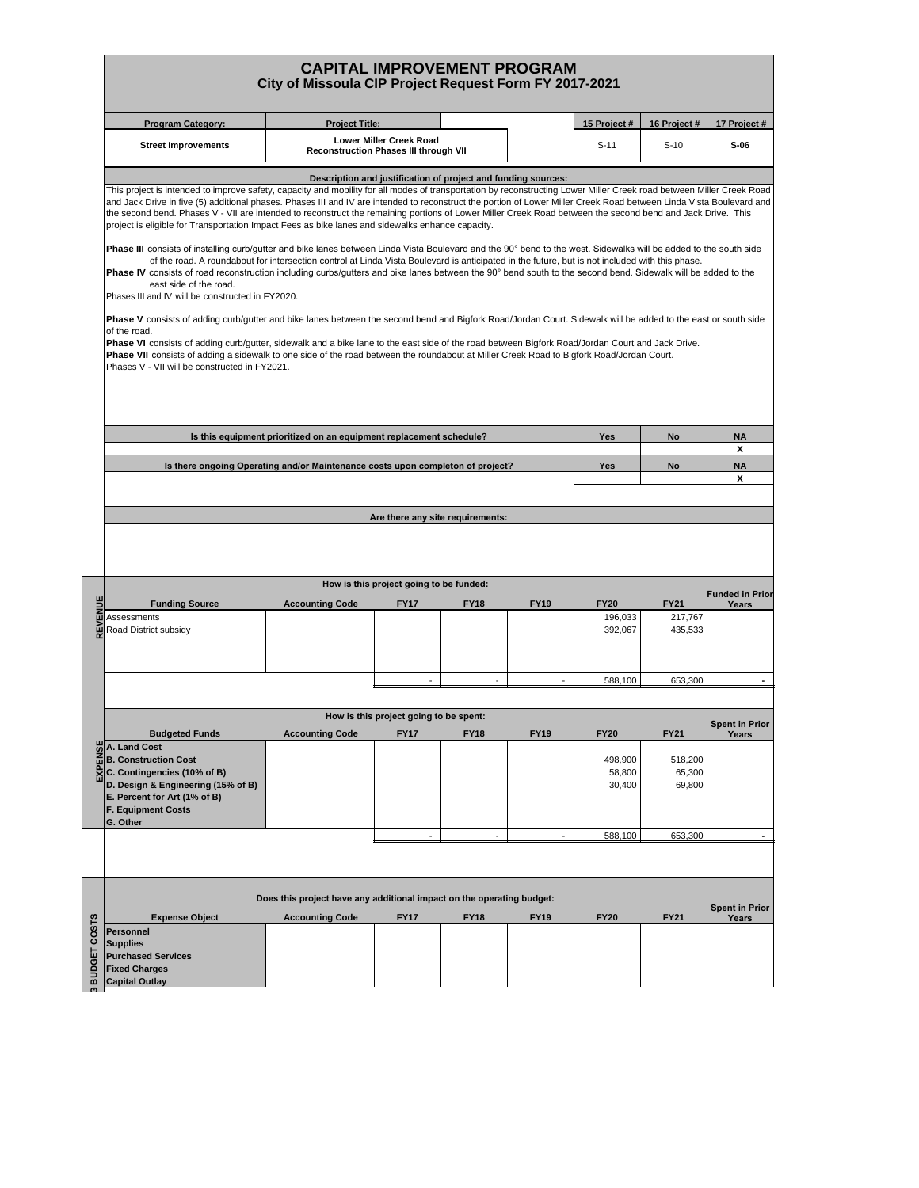## **CAPITAL IMPROVEMENT PROGRAM City of Missoula CIP Project Request Form FY 2017-2021**

| <b>Program Category:</b>                                                                                                                                                                                                                                                                                                                                                                                                                                                                                                                                                                                                                                                                                                                                                                                                                                                                                                                                                                                                                                                                                                                                                                                                                                                                                                                                                                                                                                                                                                                                                                                                                                                                                                | <b>Project Title:</b>                                                          |                                                                         |             |             | 15 Project #                               | 16 Project #                               | 17 Project #                   |
|-------------------------------------------------------------------------------------------------------------------------------------------------------------------------------------------------------------------------------------------------------------------------------------------------------------------------------------------------------------------------------------------------------------------------------------------------------------------------------------------------------------------------------------------------------------------------------------------------------------------------------------------------------------------------------------------------------------------------------------------------------------------------------------------------------------------------------------------------------------------------------------------------------------------------------------------------------------------------------------------------------------------------------------------------------------------------------------------------------------------------------------------------------------------------------------------------------------------------------------------------------------------------------------------------------------------------------------------------------------------------------------------------------------------------------------------------------------------------------------------------------------------------------------------------------------------------------------------------------------------------------------------------------------------------------------------------------------------------|--------------------------------------------------------------------------------|-------------------------------------------------------------------------|-------------|-------------|--------------------------------------------|--------------------------------------------|--------------------------------|
| <b>Street Improvements</b>                                                                                                                                                                                                                                                                                                                                                                                                                                                                                                                                                                                                                                                                                                                                                                                                                                                                                                                                                                                                                                                                                                                                                                                                                                                                                                                                                                                                                                                                                                                                                                                                                                                                                              |                                                                                | Lower Miller Creek Road<br><b>Reconstruction Phases III through VII</b> |             |             | $S-11$                                     | $S-10$                                     | $S-06$                         |
| This project is intended to improve safety, capacity and mobility for all modes of transportation by reconstructing Lower Miller Creek road between Miller Creek Road<br>and Jack Drive in five (5) additional phases. Phases III and IV are intended to reconstruct the portion of Lower Miller Creek Road between Linda Vista Boulevard and<br>the second bend. Phases V - VII are intended to reconstruct the remaining portions of Lower Miller Creek Road between the second bend and Jack Drive. This<br>project is eligible for Transportation Impact Fees as bike lanes and sidewalks enhance capacity.<br>Phase III consists of installing curb/gutter and bike lanes between Linda Vista Boulevard and the 90° bend to the west. Sidewalks will be added to the south side<br>of the road. A roundabout for intersection control at Linda Vista Boulevard is anticipated in the future, but is not included with this phase.<br>Phase IV consists of road reconstruction including curbs/gutters and bike lanes between the 90° bend south to the second bend. Sidewalk will be added to the<br>east side of the road.<br>Phases III and IV will be constructed in FY2020.<br>Phase V consists of adding curb/gutter and bike lanes between the second bend and Bigfork Road/Jordan Court. Sidewalk will be added to the east or south side<br>of the road.<br>Phase VI consists of adding curb/gutter, sidewalk and a bike lane to the east side of the road between Bigfork Road/Jordan Court and Jack Drive.<br>Phase VII consists of adding a sidewalk to one side of the road between the roundabout at Miller Creek Road to Bigfork Road/Jordan Court.<br>Phases V - VII will be constructed in FY2021. |                                                                                | Description and justification of project and funding sources:           |             |             |                                            |                                            |                                |
|                                                                                                                                                                                                                                                                                                                                                                                                                                                                                                                                                                                                                                                                                                                                                                                                                                                                                                                                                                                                                                                                                                                                                                                                                                                                                                                                                                                                                                                                                                                                                                                                                                                                                                                         | Is this equipment prioritized on an equipment replacement schedule?            |                                                                         |             |             | Yes                                        | <b>No</b>                                  | <b>NA</b>                      |
|                                                                                                                                                                                                                                                                                                                                                                                                                                                                                                                                                                                                                                                                                                                                                                                                                                                                                                                                                                                                                                                                                                                                                                                                                                                                                                                                                                                                                                                                                                                                                                                                                                                                                                                         | Is there ongoing Operating and/or Maintenance costs upon completon of project? |                                                                         |             |             | Yes                                        | <b>No</b>                                  | x<br><b>NA</b>                 |
|                                                                                                                                                                                                                                                                                                                                                                                                                                                                                                                                                                                                                                                                                                                                                                                                                                                                                                                                                                                                                                                                                                                                                                                                                                                                                                                                                                                                                                                                                                                                                                                                                                                                                                                         |                                                                                |                                                                         |             |             |                                            |                                            | x                              |
|                                                                                                                                                                                                                                                                                                                                                                                                                                                                                                                                                                                                                                                                                                                                                                                                                                                                                                                                                                                                                                                                                                                                                                                                                                                                                                                                                                                                                                                                                                                                                                                                                                                                                                                         |                                                                                | Are there any site requirements:                                        |             |             |                                            |                                            |                                |
|                                                                                                                                                                                                                                                                                                                                                                                                                                                                                                                                                                                                                                                                                                                                                                                                                                                                                                                                                                                                                                                                                                                                                                                                                                                                                                                                                                                                                                                                                                                                                                                                                                                                                                                         |                                                                                |                                                                         |             |             |                                            |                                            |                                |
| <b>Funding Source</b>                                                                                                                                                                                                                                                                                                                                                                                                                                                                                                                                                                                                                                                                                                                                                                                                                                                                                                                                                                                                                                                                                                                                                                                                                                                                                                                                                                                                                                                                                                                                                                                                                                                                                                   | <b>Accounting Code</b>                                                         | How is this project going to be funded:<br><b>FY17</b>                  | <b>FY18</b> | <b>FY19</b> | <b>FY20</b><br>196,033<br>392,067          | <b>FY21</b><br>217,767<br>435,533          |                                |
|                                                                                                                                                                                                                                                                                                                                                                                                                                                                                                                                                                                                                                                                                                                                                                                                                                                                                                                                                                                                                                                                                                                                                                                                                                                                                                                                                                                                                                                                                                                                                                                                                                                                                                                         |                                                                                |                                                                         |             |             | 588,100                                    | 653,300                                    |                                |
| Assessments<br>Road District subsidy                                                                                                                                                                                                                                                                                                                                                                                                                                                                                                                                                                                                                                                                                                                                                                                                                                                                                                                                                                                                                                                                                                                                                                                                                                                                                                                                                                                                                                                                                                                                                                                                                                                                                    |                                                                                | How is this project going to be spent:                                  |             |             |                                            |                                            | Funded in Prior<br>Years       |
| <b>Budgeted Funds</b><br>A. Land Cost<br><b>B. Construction Cost</b><br>C. Contingencies (10% of B)<br>D. Design & Engineering (15% of B)<br>E. Percent for Art (1% of B)<br><b>F. Equipment Costs</b>                                                                                                                                                                                                                                                                                                                                                                                                                                                                                                                                                                                                                                                                                                                                                                                                                                                                                                                                                                                                                                                                                                                                                                                                                                                                                                                                                                                                                                                                                                                  | <b>Accounting Code</b>                                                         | <b>FY17</b>                                                             | <b>FY18</b> | <b>FY19</b> | <b>FY20</b><br>498,900<br>58,800<br>30,400 | <b>FY21</b><br>518,200<br>65,300<br>69,800 | <b>Spent in Prior</b><br>Years |
|                                                                                                                                                                                                                                                                                                                                                                                                                                                                                                                                                                                                                                                                                                                                                                                                                                                                                                                                                                                                                                                                                                                                                                                                                                                                                                                                                                                                                                                                                                                                                                                                                                                                                                                         |                                                                                |                                                                         |             |             | 588,100                                    | 653,300                                    |                                |
| G. Other                                                                                                                                                                                                                                                                                                                                                                                                                                                                                                                                                                                                                                                                                                                                                                                                                                                                                                                                                                                                                                                                                                                                                                                                                                                                                                                                                                                                                                                                                                                                                                                                                                                                                                                | Does this project have any additional impact on the operating budget:          |                                                                         |             |             |                                            |                                            | <b>Spent in Prior</b>          |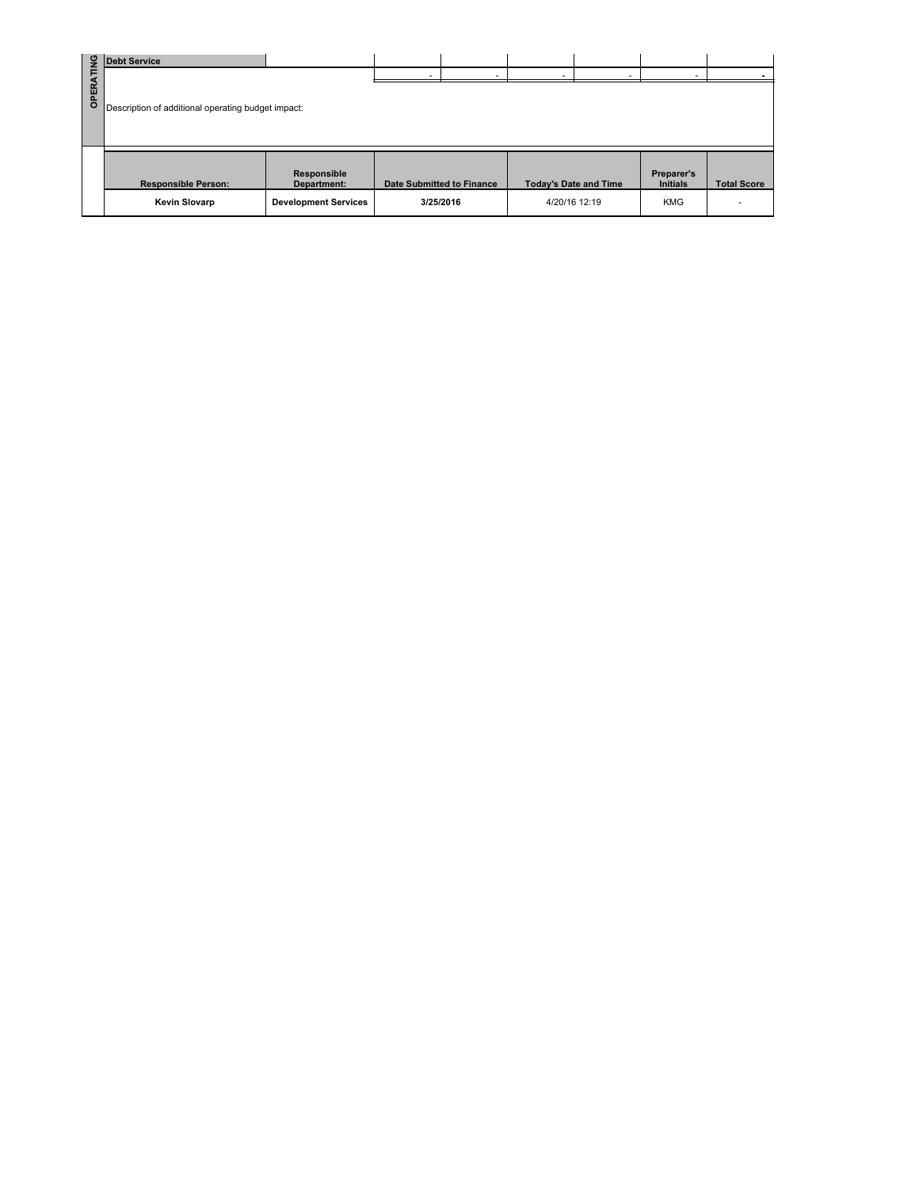| <b>OPERATING</b> | <b>Debt Service</b>                                |                             |                                  |                              |                               |                          |
|------------------|----------------------------------------------------|-----------------------------|----------------------------------|------------------------------|-------------------------------|--------------------------|
|                  | Description of additional operating budget impact: |                             |                                  |                              |                               |                          |
|                  | <b>Responsible Person:</b>                         | Responsible<br>Department:  | <b>Date Submitted to Finance</b> | <b>Today's Date and Time</b> | Preparer's<br><b>Initials</b> | <b>Total Score</b>       |
|                  | <b>Kevin Slovarp</b>                               | <b>Development Services</b> | 3/25/2016                        | 4/20/16 12:19                | <b>KMG</b>                    | $\overline{\phantom{a}}$ |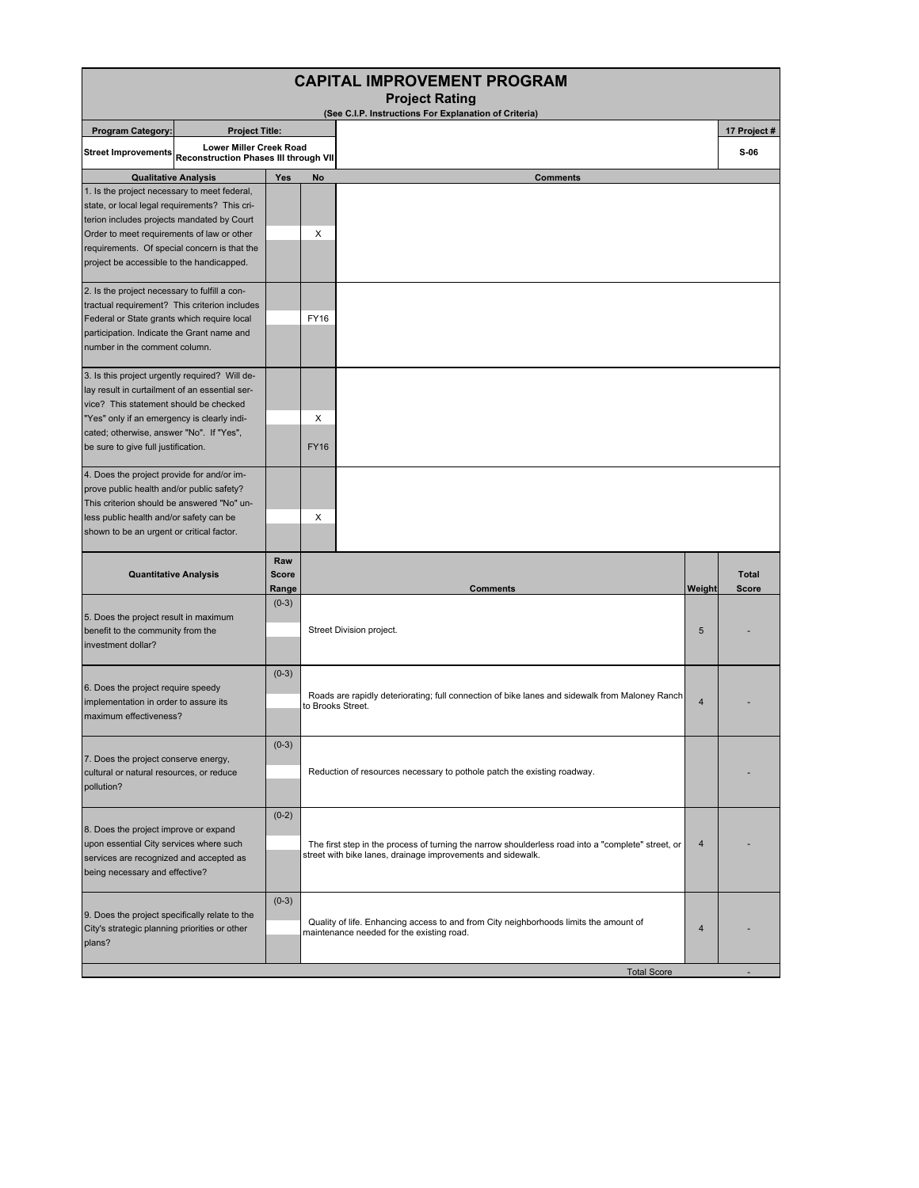| <b>CAPITAL IMPROVEMENT PROGRAM</b><br><b>Project Rating</b>                                                                                                                                                                                                                  |                                                                                           |                              |                   |                                                                                                                                                                        |                |                        |  |  |
|------------------------------------------------------------------------------------------------------------------------------------------------------------------------------------------------------------------------------------------------------------------------------|-------------------------------------------------------------------------------------------|------------------------------|-------------------|------------------------------------------------------------------------------------------------------------------------------------------------------------------------|----------------|------------------------|--|--|
|                                                                                                                                                                                                                                                                              |                                                                                           |                              |                   | (See C.I.P. Instructions For Explanation of Criteria)                                                                                                                  |                |                        |  |  |
| <b>Program Category:</b><br><b>Street Improvements</b>                                                                                                                                                                                                                       | <b>Project Title:</b><br>Lower Miller Creek Road<br>Reconstruction Phases III through VII |                              |                   |                                                                                                                                                                        |                | 17 Project #<br>$S-06$ |  |  |
| <b>Qualitative Analysis</b>                                                                                                                                                                                                                                                  |                                                                                           | Yes                          | <b>No</b>         | <b>Comments</b>                                                                                                                                                        |                |                        |  |  |
| 1. Is the project necessary to meet federal,<br>state, or local legal requirements? This cri-<br>terion includes projects mandated by Court                                                                                                                                  |                                                                                           |                              |                   |                                                                                                                                                                        |                |                        |  |  |
| Order to meet requirements of law or other<br>requirements. Of special concern is that the<br>project be accessible to the handicapped.                                                                                                                                      |                                                                                           |                              | Х                 |                                                                                                                                                                        |                |                        |  |  |
| 2. Is the project necessary to fulfill a con-<br>tractual requirement? This criterion includes<br>Federal or State grants which require local<br>participation. Indicate the Grant name and<br>number in the comment column.                                                 |                                                                                           |                              | <b>FY16</b>       |                                                                                                                                                                        |                |                        |  |  |
| 3. Is this project urgently required? Will de-<br>lay result in curtailment of an essential ser-<br>vice? This statement should be checked<br>"Yes" only if an emergency is clearly indi-<br>cated; otherwise, answer "No". If "Yes",<br>be sure to give full justification. |                                                                                           |                              | X<br><b>FY16</b>  |                                                                                                                                                                        |                |                        |  |  |
| 4. Does the project provide for and/or im-<br>prove public health and/or public safety?<br>This criterion should be answered "No" un-<br>less public health and/or safety can be<br>shown to be an urgent or critical factor.                                                |                                                                                           |                              | $\times$          |                                                                                                                                                                        |                |                        |  |  |
| <b>Quantitative Analysis</b>                                                                                                                                                                                                                                                 |                                                                                           | Raw<br><b>Score</b><br>Range |                   | <b>Comments</b>                                                                                                                                                        | Weight         | <b>Total</b><br>Score  |  |  |
| 5. Does the project result in maximum<br>benefit to the community from the<br>investment dollar?                                                                                                                                                                             |                                                                                           | $(0-3)$                      |                   | Street Division project.                                                                                                                                               | 5              |                        |  |  |
| 6. Does the project require speedy<br>implementation in order to assure its<br>maximum effectiveness?                                                                                                                                                                        |                                                                                           | $(0-3)$                      | to Brooks Street. | Roads are rapidly deteriorating; full connection of bike lanes and sidewalk from Maloney Ranch                                                                         | $\overline{4}$ |                        |  |  |
| 7. Does the project conserve energy,<br>cultural or natural resources, or reduce<br>pollution?                                                                                                                                                                               |                                                                                           | $(0-3)$                      |                   | Reduction of resources necessary to pothole patch the existing roadway.                                                                                                |                |                        |  |  |
| 8. Does the project improve or expand<br>upon essential City services where such<br>services are recognized and accepted as<br>being necessary and effective?                                                                                                                |                                                                                           | $(0-2)$                      |                   | The first step in the process of turning the narrow shoulderless road into a "complete" street, or<br>4<br>street with bike lanes, drainage improvements and sidewalk. |                |                        |  |  |
| 9. Does the project specifically relate to the<br>City's strategic planning priorities or other<br>plans?                                                                                                                                                                    |                                                                                           | $(0-3)$                      |                   | Quality of life. Enhancing access to and from City neighborhoods limits the amount of<br>maintenance needed for the existing road.                                     | $\overline{4}$ |                        |  |  |
|                                                                                                                                                                                                                                                                              |                                                                                           |                              |                   | <b>Total Score</b>                                                                                                                                                     |                |                        |  |  |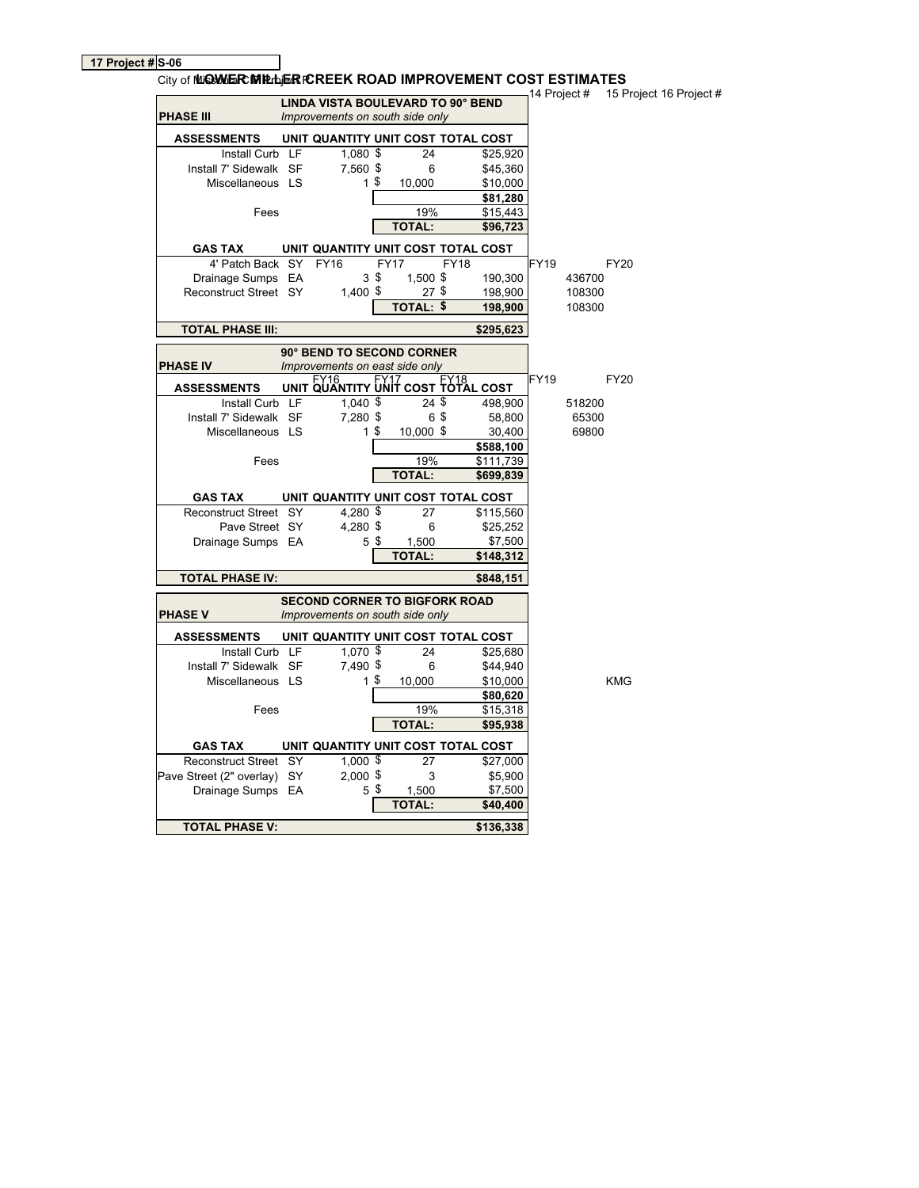**17 Project # S-06**

| City of MIGHMER MIRILER ICREEK ROAD IMPROVEMENT COST ESTIMATES |                                          |                |                  |             |           | 14 Project # |        | 15 Project 16 Project # |
|----------------------------------------------------------------|------------------------------------------|----------------|------------------|-------------|-----------|--------------|--------|-------------------------|
|                                                                | <b>LINDA VISTA BOULEVARD TO 90° BEND</b> |                |                  |             |           |              |        |                         |
| <b>PHASE III</b>                                               | Improvements on south side only          |                |                  |             |           |              |        |                         |
| <b>ASSESSMENTS</b>                                             | UNIT QUANTITY UNIT COST TOTAL COST       |                |                  |             |           |              |        |                         |
| Install Curb LF                                                | $1,080$ \$                               |                | 24               |             | \$25,920  |              |        |                         |
| Install 7' Sidewalk SF                                         | 7,560 \$                                 |                | 6                |             | \$45,360  |              |        |                         |
| Miscellaneous LS                                               |                                          | 1 <sup>°</sup> | 10,000           |             | \$10,000  |              |        |                         |
|                                                                |                                          |                |                  |             | \$81,280  |              |        |                         |
| Fees                                                           |                                          |                | 19%              |             | \$15,443  |              |        |                         |
|                                                                |                                          |                | <b>TOTAL:</b>    |             | \$96,723  |              |        |                         |
| <b>GAS TAX</b>                                                 | UNIT QUANTITY UNIT COST TOTAL COST       |                |                  |             |           |              |        |                         |
| 4' Patch Back SY FY16                                          |                                          |                | <b>FY17</b>      | <b>FY18</b> |           | <b>FY19</b>  |        | <b>FY20</b>             |
| Drainage Sumps EA                                              |                                          | 3 <sup>5</sup> | 1,500 \$         |             | 190,300   |              | 436700 |                         |
| Reconstruct Street SY                                          | $1,400$ \$                               |                | 27\$             |             | 198,900   |              | 108300 |                         |
|                                                                |                                          |                | <b>TOTAL: \$</b> |             | 198,900   |              | 108300 |                         |
| <b>TOTAL PHASE III:</b>                                        |                                          |                |                  |             | \$295,623 |              |        |                         |
|                                                                | 90° BEND TO SECOND CORNER                |                |                  |             |           |              |        |                         |
| <b>PHASE IV</b>                                                | Improvements on east side only           |                |                  |             |           |              |        |                         |
| <b>ASSESSMENTS</b>                                             | UNIT QUANTITY UNIT COST FOTAL COST       |                |                  |             |           | FY19         |        | FY20                    |
| Install Curb LF                                                | $1,040$ \$                               |                | $24$ \$          |             | 498,900   |              | 518200 |                         |
| Install 7' Sidewalk SF                                         | 7,280 \$                                 |                | 65               |             | 58,800    |              | 65300  |                         |
| Miscellaneous LS                                               |                                          | 1\$            | 10,000 \$        |             | 30,400    |              | 69800  |                         |
|                                                                |                                          |                |                  |             | \$588,100 |              |        |                         |
| Fees                                                           |                                          |                | 19%              |             | \$111,739 |              |        |                         |
|                                                                |                                          |                | <b>TOTAL:</b>    |             | \$699,839 |              |        |                         |
| <b>GAS TAX</b>                                                 | UNIT QUANTITY UNIT COST TOTAL COST       |                |                  |             |           |              |        |                         |
| Reconstruct Street SY                                          | 4,280 $\frac{1}{2}$                      |                | 27               |             | \$115,560 |              |        |                         |
| Pave Street SY                                                 | 4,280 \$                                 |                | 6                |             | \$25,252  |              |        |                         |
| Drainage Sumps EA                                              |                                          | 5\$            | 1,500            |             | \$7,500   |              |        |                         |
|                                                                |                                          |                | <b>TOTAL:</b>    |             | \$148,312 |              |        |                         |
| <b>TOTAL PHASE IV:</b>                                         |                                          |                |                  |             | \$848,151 |              |        |                         |
|                                                                | <b>SECOND CORNER TO BIGFORK ROAD</b>     |                |                  |             |           |              |        |                         |
| <b>PHASE V</b>                                                 | Improvements on south side only          |                |                  |             |           |              |        |                         |
| <b>ASSESSMENTS</b>                                             | UNIT QUANTITY UNIT COST TOTAL COST       |                |                  |             |           |              |        |                         |
| Install Curb LF                                                | 1,070 \$                                 |                | 24               |             | \$25,680  |              |        |                         |
| Install 7' Sidewalk SF                                         | 7,490 \$                                 |                | 6                |             | \$44,940  |              |        |                         |
| Miscellaneous LS                                               |                                          | $1$ \$         | 10,000           |             | \$10,000  |              |        | <b>KMG</b>              |
|                                                                |                                          |                |                  |             | \$80,620  |              |        |                         |
| Fees                                                           |                                          |                | 19%              |             | \$15,318  |              |        |                         |
|                                                                |                                          |                | <b>TOTAL:</b>    |             | \$95,938  |              |        |                         |
| <b>GAS TAX</b>                                                 | UNIT QUANTITY UNIT COST TOTAL COST       |                |                  |             |           |              |        |                         |
| Reconstruct Street SY                                          | $1,000$ \$                               |                | 27               |             | \$27,000  |              |        |                         |
| Pave Street (2" overlay) SY                                    | $2,000$ \$                               |                | 3                |             | \$5,900   |              |        |                         |
| Drainage Sumps EA                                              |                                          | 5 <sup>5</sup> | 1,500            |             | \$7,500   |              |        |                         |
|                                                                |                                          |                | <b>TOTAL:</b>    |             | \$40,400  |              |        |                         |
| <b>TOTAL PHASE V:</b>                                          |                                          |                |                  |             | \$136,338 |              |        |                         |
|                                                                |                                          |                |                  |             |           |              |        |                         |